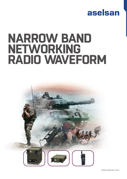## aselsan

# **NARROW BAND NETWORKING RADIO WAVEFORM**